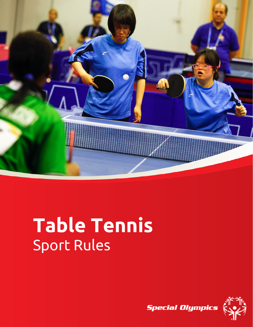

# **Table Tennis** Sport Rules

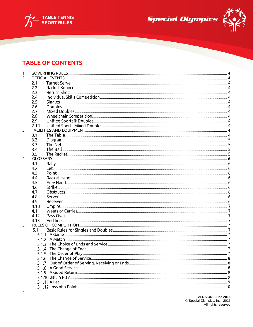





## **TABLE OF CONTENTS**

| 2.1 |                                                                                                                                                                                                |       |
|-----|------------------------------------------------------------------------------------------------------------------------------------------------------------------------------------------------|-------|
| 2.2 |                                                                                                                                                                                                |       |
|     |                                                                                                                                                                                                |       |
|     |                                                                                                                                                                                                |       |
|     |                                                                                                                                                                                                |       |
|     |                                                                                                                                                                                                |       |
|     |                                                                                                                                                                                                |       |
|     |                                                                                                                                                                                                |       |
|     |                                                                                                                                                                                                |       |
|     |                                                                                                                                                                                                |       |
|     |                                                                                                                                                                                                |       |
|     |                                                                                                                                                                                                |       |
|     |                                                                                                                                                                                                |       |
|     |                                                                                                                                                                                                |       |
|     |                                                                                                                                                                                                |       |
|     |                                                                                                                                                                                                |       |
| 4.  |                                                                                                                                                                                                |       |
|     |                                                                                                                                                                                                |       |
|     |                                                                                                                                                                                                |       |
|     |                                                                                                                                                                                                |       |
|     |                                                                                                                                                                                                |       |
|     |                                                                                                                                                                                                |       |
|     |                                                                                                                                                                                                |       |
|     |                                                                                                                                                                                                |       |
|     |                                                                                                                                                                                                |       |
|     |                                                                                                                                                                                                |       |
|     |                                                                                                                                                                                                |       |
|     |                                                                                                                                                                                                |       |
|     |                                                                                                                                                                                                |       |
|     |                                                                                                                                                                                                |       |
|     |                                                                                                                                                                                                |       |
|     |                                                                                                                                                                                                |       |
|     |                                                                                                                                                                                                |       |
|     |                                                                                                                                                                                                |       |
|     |                                                                                                                                                                                                |       |
|     |                                                                                                                                                                                                |       |
|     |                                                                                                                                                                                                |       |
|     |                                                                                                                                                                                                |       |
|     |                                                                                                                                                                                                |       |
|     |                                                                                                                                                                                                |       |
|     |                                                                                                                                                                                                |       |
|     |                                                                                                                                                                                                |       |
|     |                                                                                                                                                                                                |       |
|     |                                                                                                                                                                                                |       |
|     | 2.3<br>2.4<br>2.5<br>2.6<br>2.7<br>2.8<br>2.9<br>2.10<br>3.1<br>3.2<br>3.3<br>3.4<br>3.5<br>4.1<br>4.2<br>4.3<br>4.4<br>4.5<br>4.6<br>4.7<br>4.8<br>4.9<br>4.10<br>4.11<br>4.12<br>4.13<br>5.1 | 5.1.7 |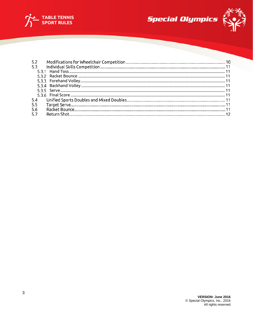





| 5.3 |  |
|-----|--|
|     |  |
|     |  |
|     |  |
|     |  |
|     |  |
|     |  |
| 5.4 |  |
| 5.5 |  |
| 5.6 |  |
| 5.7 |  |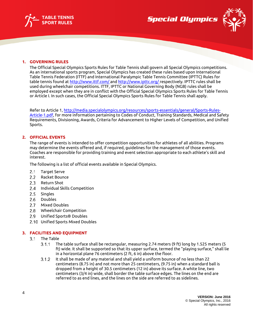





#### <span id="page-3-0"></span>**1. GOVERNING RULES**

The Official Special Olympics Sports Rules for Table Tennis shall govern all Special Olympics competitions. As an international sports program, Special Olympics has created these rules based upon International Table Tennis Federation (ITTF) and International Paralympic Table Tennis Committee (IPTTC) Rules for table tennis found at [http://www.ittf.com/ a](http://www.ittf.com/)nd [http://www.ipttc.org/ r](http://www.ipttc.org/)espectively. IPTTC rules shall be used during wheelchair competitions. ITTF, IPTTC or National Governing Body (NGB) rules shall be employed except when they are in conflict with the Official Special Olympics Sports Rules for Table Tennis or Article I. In such cases, the Official Special Olympics Sports Rules for Table Tennis shall apply.

Refer to Article 1[, http://media.specialolympics.org/resources/sports-essentials/general/Sports-Rules-](http://media.specialolympics.org/resources/sports-essentials/general/Sports-Rules-Article-1.pdf)[Article-1.pdf,](http://media.specialolympics.org/resources/sports-essentials/general/Sports-Rules-Article-1.pdf) for more information pertaining to Codes of Conduct, Training Standards, Medical and Safety Requirements, Divisioning, Awards, Criteria for Advancement to Higher Levels of Competition, and Unified Sports.

#### <span id="page-3-1"></span>**2. OFFICIAL EVENTS**

The range of events is intended to offer competition opportunities for athletes of all abilities. Programs may determine the events offered and, if required, guidelines for the management of those events. Coaches are responsible for providing training and event selection appropriate to each athlete's skill and interest.

The following is a list of official events available in Special Olympics.

- $2.1$ Target Serve
- $2.2$ Racket Bounce
- $2.3$ Return Shot
- $2.4$ Individual Skills Competition
- $2.5$ **Singles**
- 2.6 Doubles
- Mixed Doubles  $2.7$
- $2.8$ Wheelchair Competition
- $2.9$ Unified Sports® Doubles
- 2.10 Unified Sports Mixed Doubles

#### <span id="page-3-2"></span>**3. FACILITIES AND EQUIPMENT**

- $3.1$ The Table
	- $3.1.1$ The table surface shall be rectangular, measuring 2.74 meters (9 ft) long by 1.525 meters (5 ft) wide. It shall be supported so that its upper surface, termed the "playing surface," shall lie in a horizontal plane 76 centimeters (2 ft, 6 in) above the floor.
	- $3.1.2$ It shall be made of any material and shall yield a uniform bounce of no less than 22 centimeters (8.75 in) and not more than 25 centimeters, (9.75 in) when a standard ball is dropped from a height of 30.5 centimeters (12 in) above its surface. A white line, two centimeters (3/4 in) wide, shall border the table surface edges. The lines on the end are referred to as end lines, and the lines on the side are referred to as sidelines.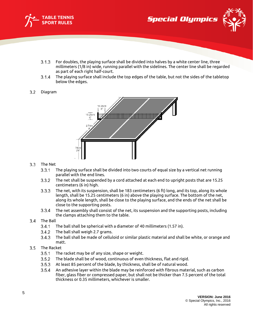



- $3.1.3$ For doubles, the playing surface shall be divided into halves by a white center line, three millimeters (1/8 in) wide, running parallel with the sidelines. The center line shall be regarded as part of each right half-court.
- $3.1.4$ The playing surface shall include the top edges of the table, but not the sides of the tabletop below the edges.

#### $3.2$ Diagram



## 3.3 The Net

- $3.3.1$ The playing surface shall be divided into two courts of equal size by a vertical net running parallel with the end lines.
- $3.3.2$ The net shall be suspended by a cord attached at each end to upright posts that are 15.25 centimeters (6 in) high.
- $3.3.3$ The net, with its suspension, shall be 183 centimeters (6 ft) long, and its top, along its whole length, shall be 15.25 centimeters (6 in) above the playing surface. The bottom of the net, along its whole length, shall be close to the playing surface, and the ends of the net shall be close to the supporting posts.
- $3.3.4$ The net assembly shall consist of the net, its suspension and the supporting posts, including the clamps attaching them to the table.

#### $3.4$ The Ball

- $3.4.1$ The ball shall be spherical with a diameter of 40 millimeters (1.57 in).
- $3.4.2$ The ball shall weigh 2.7 grams.
- $3.4.3$ The ball shall be made of celluloid or similar plastic material and shall be white, or orange and matt.
- $3.5$ The Racket
	- $3.5.1$ The racket may be of any size, shape or weight.
	- $3.5.2$ The blade shall be of wood, continuous of even thickness, flat and rigid.
	- $3.5.3$ At least 85 percent of the blade, by thickness, shall be of natural wood.
	- $3.5.4$ An adhesive layer within the blade may be reinforced with fibrous material, such as carbon fiber, glass fiber or compressed paper, but shall not be thicker than 7.5 percent of the total thickness or 0.35 millimeters, whichever is smaller.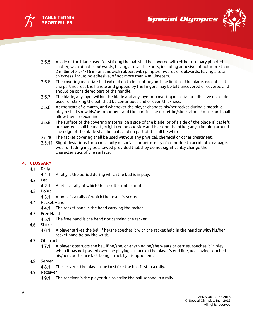



- 
- $3.5.5$ A side of the blade used for striking the ball shall be covered with either ordinary pimpled rubber, with pimples outwards, having a total thickness, including adhesive, of not more than 2 millimeters (1/16 in) or sandwich rubber, with pimples inwards or outwards, having a total thickness, including adhesive, of not more than 4 millimeters.
- $3.5.6$ The covering material shall extend up to but not beyond the limits of the blade, except that the part nearest the handle and gripped by the fingers may be left uncovered or covered and should be considered part of the handle.
- The blade, any layer within the blade and any layer of covering material or adhesive on a side  $3.5.7$ used for striking the ball shall be continuous and of even thickness.
- $3.5.8$ At the start of a match, and whenever the player changes his/her racket during a match, a player shall show his/her opponent and the umpire the racket he/she is about to use and shall allow them to examine it.
- $3.5.9$ The surface of the covering material on a side of the blade, or of a side of the blade if it is left uncovered, shall be matt, bright red on one side and black on the other; any trimming around the edge of the blade shall be matt and no part of it shall be white.
- 3.5.10 The racket covering shall be used without any physical, chemical or other treatment.
- Slight deviations from continuity of surface or uniformity of color due to accidental damage, wear or fading may be allowed provided that they do not significantly change the characteristics of the surface.

## <span id="page-5-0"></span>**4. GLOSSARY**

- $4.1$ Rally
	- $4.1.1$ A rally is the period during which the ball is in play.
- Let  $4.2$ 
	- A let is a rally of which the result is not scored.  $4.2.1$
- $4.3$ Point
	- $4.3.1$ A point is a rally of which the result is scored.
- 4.4 Racket Hand
	- The racket hand is the hand carrying the racket. 4.4.1
- 4.5 Free Hand
	- $4.5.1$ The free hand is the hand not carrying the racket.
- $4.6$ Strike
	- $4.6.1$ A player strikes the ball if he/she touches it with the racket held in the hand or with his/her racket hand below the wrist.
- 4.7 **Obstructs** 
	- $4.7.1$ A player obstructs the ball if he/she, or anything he/she wears or carries, touches it in play when it has not passed over the playing surface or the player's end line, not having touched his/her court since last being struck by his opponent.
- $4.8$ Server
	- $4.8.1$ The server is the player due to strike the ball first in a rally.
- 4.9 Receiver
	- 4.9.1 The receiver is the player due to strike the ball second in a rally.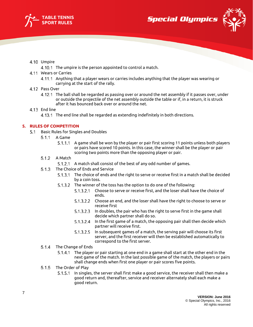





## 4.10 Umpire

- 4.10.1 The umpire is the person appointed to control a match.
- Wears or Carries
	- Anything that a player wears or carries includes anything that the player was wearing or carrying at the start of the rally.
- 4.12 Pass Over
	- The ball shall be regarded as passing over or around the net assembly if it passes over, under or outside the projectile of the net assembly outside the table or if, in a return, it is struck after it has bounced back over or around the net.
- 4.13 End line
	- 4.13.1 The end line shall be regarded as extending indefinitely in both directions.

## <span id="page-6-0"></span>**5. RULES OF COMPETITION**

- <span id="page-6-5"></span><span id="page-6-4"></span><span id="page-6-3"></span><span id="page-6-2"></span><span id="page-6-1"></span>5.1 Basic Rules for Singles and Doubles
	- A Game  $5.1.1$ 
		- 5.1.1.1 A game shall be won by the player or pair first scoring 11 points unless both players or pairs have scored 10 points. In this case, the winner shall be the player or pair scoring two points more than the opposing player or pair.
	- $5.1.2$ A Match
		- 5.1.2.1 A match shall consist of the best of any odd number of games.
	- 5.1.3 The Choice of Ends and Service
		- 5.1.3.1 The choice of ends and the right to serve or receive first in a match shall be decided by a coin toss.
		- The winner of the toss has the option to do one of the following:
			- 5.1.3.2.1 Choose to serve or receive first, and the loser shall have the choice of ends.
			- $5.1.3.2.2$ Choose an end, and the loser shall have the right to choose to serve or receive first
			- In doubles, the pair who has the right to serve first in the game shall  $5.1.3.2.3$ decide which partner shall do so.
			- $5.1.3.2.4$ In the first game of a match, the opposing pair shall then decide which partner will receive first.
			- 5.1.3.2.5 In subsequent games of a match, the serving pair will choose its first server, and the first receiver will then be established automatically to correspond to the first server.
	- 5.1.4 The Change of Ends
		- The player or pair starting at one end in a game shall start at the other end in the next game of the match. In the last possible game of the match, the players or pairs shall change ends when first one player or pair scores five points.
	- $5.1.5$ The Order of Play
		- In singles, the server shall first make a good service, the receiver shall then make a good return and, thereafter, service and receiver alternately shall each make a good return.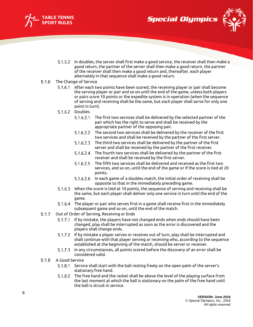





- In doubles, the server shall first make a good service, the receiver shall then make a good return, the partner of the server shall then make a good return, the partner of the receiver shall then make a good return and, thereafter, each player alternately in that sequence shall make a good return.
- <span id="page-7-0"></span> $5.1.6$ The Change of Service
	- 5.1.6.1 After each two points have been scored, the receiving player or pair shall become the serving player or pair and so on until the end of the game, unless both players or pairs score 10 points or the expedite system is in operation (when the sequence of serving and receiving shall be the same, but each player shall serve for only one point in turn).
	- 5.1.6.2 Doubles
		- $5.1.6.2.1$ The first two services shall be delivered by the selected partner of the pair which has the right to serve and shall be received by the appropriate partner of the opposing pair.
		- The second two services shall be delivered by the receiver of the first  $5.1.6.2.2$ two services and shall be received by the partner of the first server.
		- $5.1.6.2.3$ The third two services shall be delivered by the partner of the first server and shall be received by the partner of the first receiver.
		- The fourth two services shall be delivered by the partner of the first  $5.1.6.2.4$ receiver and shall be received by the first server.
		- The fifth two services shall be delivered and received as the first two  $5.1.6.2.5$ services, and so on, until the end of the game or if the score is tied at 20 points.
		- In each game of a doubles match, the initial order of receiving shall be 5.1.6.2.6 opposite to that in the immediately preceding game.
	- When the score is tied at 10 points, the sequence of serving and receiving shall be the same, but each player shall deliver only one service in turn until the end of the game.
	- 5.1.6.4 The player or pair who serves first in a game shall receive first in the immediately subsequent game and so on, until the end of the match.
- <span id="page-7-1"></span>Out of Order of Serving, Receiving or Ends  $5.1.7$ 
	- 5.1.7.1 If by mistake, the players have not changed ends when ends should have been changed, play shall be interrupted as soon as the error is discovered and the players shall change ends.
	- If by mistake a player serves or receives out of turn, play shall be interrupted and shall continue with that player serving or receiving who, according to the sequence established at the beginning of the match, should be server or receiver.
	- 5.1.7.3 In any circumstances, all points scored before the discovery of an error shall be considered valid.
- <span id="page-7-2"></span> $5.1.8$ A Good Service
	- 5.1.8.1 Service shall start with the ball resting freely on the open palm of the server's stationary free hand.
	- 5.1.8.2 The free hand and the racket shall be above the level of the playing surface from the last moment at which the ball is stationary on the palm of the free hand until the ball is struck in service.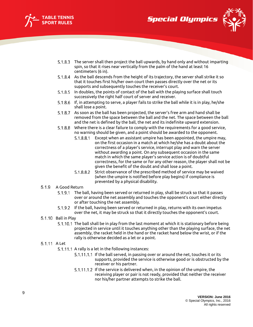



- 
- 5.1.8.3 The server shall then project the ball upwards, by hand only and without imparting spin, so that it rises near vertically from the palm of the hand at least 16 centimeters (6 in).
- 5.1.8.4 As the ball descends from the height of its trajectory, the server shall strike it so that it touches first his/her own court then passes directly over the net or its supports and subsequently touches the receiver's court.
- In doubles, the points of contact of the ball with the playing surface shall touch successively the right half court of server and receiver.
- If, in attempting to serve, a player fails to strike the ball while it is in play, he/she shall lose a point.
- 5.1.8.7 As soon as the ball has been projected, the server's free arm and hand shall be removed from the space between the ball and the net. The space between the ball and the net is defined by the ball, the net and its indefinite upward extension.
- 5.1.8.8 Where there is a clear failure to comply with the requirements for a good service, no warning should be given, and a point should be awarded to the opponent.
	- 5.1.8.8.1 Except when an assistant umpire has been appointed, the umpire may, on the first occasion in a match at which he/she has a doubt about the correctness of a player's service, interrupt play and warn the server without awarding a point. On any subsequent occasion in the same match in which the same player's service action is of doubtful correctness, for the same or for any other reason, the player shall not be given the benefit of the doubt and shall lose a point.
	- 5.1.8.8.2 Strict observance of the prescribed method of service may be waived (when the umpire is notified before play begins) if compliance is prevented by a physical disability.

#### <span id="page-8-0"></span>5.1.9 A Good Return

- The ball, having been served or returned in play, shall be struck so that it passes over or around the net assembly and touches the opponent's court either directly or after touching the net assembly.
- If the ball, having been served or returned in play, returns with its own impetus over the net, it may be struck so that it directly touches the opponent's court.

#### <span id="page-8-1"></span>5.1.10 Ball in Play

5.1.10.1 The ball shall be in play from the last moment at which it is stationary before being projected in service until it touches anything other than the playing surface, the net assembly, the racket held in the hand or the racket hand below the wrist, or if the rally is otherwise decided as a let or a point.

#### <span id="page-8-2"></span>5.1.11 A Let

- 5.1.11.1 A rally is a let in the following instances:
	- 5.1.11.1.1 If the ball served, in passing over or around the net, touches it or its supports, provided the service is otherwise good or is obstructed by the receiver or his partner.
	- 5.1.11.1.2 If the service is delivered when, in the opinion of the umpire, the receiving player or pair is not ready, provided that neither the receiver nor his/her partner attempts to strike the ball.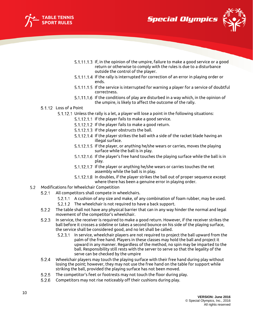





- 5.1.11.1.3 If, in the opinion of the umpire, failure to make a good service or a good return or otherwise to comply with the rules is due to a disturbance outside the control of the player.
- 5.1.11.1.4 If the rally is interrupted for correction of an error in playing order or ends.
- 5.1.11.1.5 If the service is interrupted for warning a player for a service of doubtful correctness.
- 5.1.11.1.6 If the conditions of play are disturbed in a way which, in the opinion of the umpire, is likely to affect the outcome of the rally.
- <span id="page-9-0"></span>5.1.12 Loss of a Point
	- Unless the rally is a let, a player will lose a point in the following situations:
		- 5.1.12.1.1 If the player fails to make a good service.
		- 5.1.12.1.2 If the player fails to make a good return.
		- 5.1.12.1.3 If the player obstructs the ball.
		- 5.1.12.1.4 If the player strikes the ball with a side of the racket blade having an illegal surface.
		- 5.1.12.1.5 If the player, or anything he/she wears or carries, moves the playing surface while the ball is in play.
		- 5.1.12.1.6 If the player's free hand touches the playing surface while the ball is in play.
		- 5.1.12.1.7 If the player or anything he/she wears or carries touches the net assembly while the ball is in play.
		- 5.1.12.1.8 In doubles, if the player strikes the ball out of proper sequence except where there has been a genuine error in playing order.
- Modifications for Wheelchair Competition
	- $5.2.1$ All competitors shall compete in wheelchairs.
		- 5.2.1.1 A cushion of any size and make, of any combination of foam rubber, may be used.
		- 5.2.1.2 The wheelchair is not required to have a back support.
	- $5.2.2$ The table shall not have any physical barrier that can in any way hinder the normal and legal movement of the competitor's wheelchair.
	- $5.2.3$ In service, the receiver is required to make a good return. However, if the receiver strikes the ball before it crosses a sideline or takes a second bounce on his side of the playing surface, the service shall be considered good, and no let shall be called.
		- In service, wheelchair players are not required to project the ball upward from the palm of the free hand. Players in these classes may hold the ball and project it upward in any manner. Regardless of the method, no spin may be imparted to the ball. Responsibility still rests with the server to serve so that the legality of the serve can be checked by the umpire
	- Wheelchair players may touch the playing surface with their free hand during play without  $5.2.4$ losing the point; however, they may not use the free hand on the table for support while striking the ball, provided the playing surface has not been moved.
	- $5.2.5$ The competitor's feet or footrests may not touch the floor during play.
	- Competitors may not rise noticeably off their cushions during play.5.2.6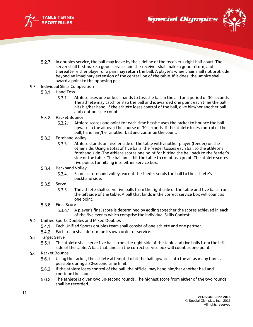





- $5.2.7$ In doubles service, the ball may leave by the sideline of the receiver's right half court. The server shall first make a good service, and the receiver shall make a good return, and thereafter either player of a pair may return the ball. A player's wheelchair shall not protrude beyond an imaginary extension of the center line of the table. If it does, the umpire shall award a point to the opposing pair.
- <span id="page-10-1"></span><span id="page-10-0"></span>5.3 Individual Skills Competition
	- $5.3.1$ Hand Toss
		- 5.3.1.1 Athlete uses one or both hands to toss the ball in the air for a period of 30 seconds. The athlete may catch or slap the ball and is awarded one point each time the ball hits his/her hand. If the athlete loses control of the ball, give him/her another ball and continue the count.
	- $5.3.2$ Racket Bounce
		- 5.3.2.1 Athlete scores one point for each time he/she uses the racket to bounce the ball upward in the air over the course of 30 seconds. If the athlete loses control of the ball, hand him/her another ball and continue the count.
	- 5.3.3 Forehand Volley
		- Athlete stands on his/her side of the table with another player (feeder) on the other side. Using a total of five balls, the feeder tosses each ball to the athlete's forehand side. The athlete scores one point for hitting the ball back to the feeder's side of the table. The ball must hit the table to count as a point. The athlete scores five points for hitting into either service box.

#### <span id="page-10-3"></span><span id="page-10-2"></span> $5.3.4$ Backhand Volley

- 5.3.4.1 Same as forehand volley, except the feeder sends the ball to the athlete's backhand side.
- <span id="page-10-4"></span>5.3.5 Serve
	- The athlete shall serve five balls from the right side of the table and five balls from the left side of the table. A ball that lands in the correct service box will count as one point.
- 5.3.6 Final Score
	- A player's final score is determined by adding together the scores achieved in each of the five events which comprise the Individual Skills Contest.
- <span id="page-10-5"></span>Unified Sports Doubles and Mixed Doubles
	- $5.4.1$ Each Unified Sports doubles team shall consist of one athlete and one partner.
	- Each team shall determine its own order of service.  $5.4.2$
- 5.5 Target Serve
	- $5.5.1$ The athlete shall serve five balls from the right side of the table and five balls from the left side of the table. A ball that lands in the correct service box will count as one point.
- $5.6$ Racket Bounce
	- $5.6.1$ Using the racket, the athlete attempts to hit the ball upwards into the air as many times as possible during a 30-second time limit.
	- $5.6.2$ If the athlete loses control of the ball, the official may hand him/her another ball and continue the count.
	- 5.6.3 The athlete is given two 30-second rounds. The highest score from either of the two rounds shall be recorded.